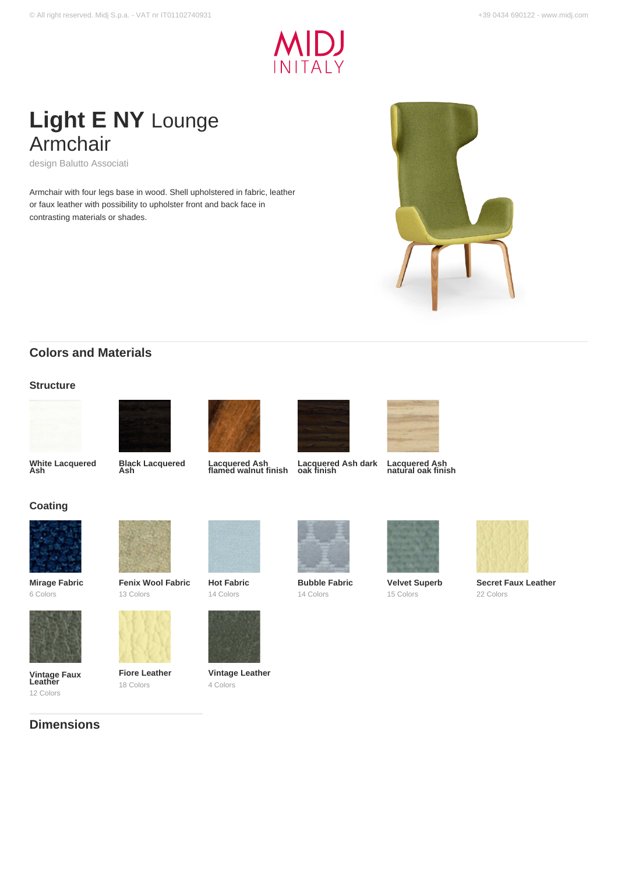

# **Light E NY** Lounge Armchair

design Balutto Associati

Armchair with four legs base in wood. Shell upholstered in fabric, leather or faux leather with possibility to upholster front and back face in contrasting materials or shades.



# **Colors and Materials**

### **Structure**











**Lacquered Ash natural oak finish**





# 22 Colors

**White Lacquered Ash**

**Coating**

**Black Lacquered Ash**

**Lacquered Ash flamed walnut finish**

**Lacquered Ash dark oak finish**





**Velvet Superb** 15 Colors



**Mirage Fabric** 6 Colors

**Vintage Faux Leather** 12 Colors

**Dimensions**



13 Colors

**Fiore Leather** 18 Colors





**Vintage Leather** 4 Colors



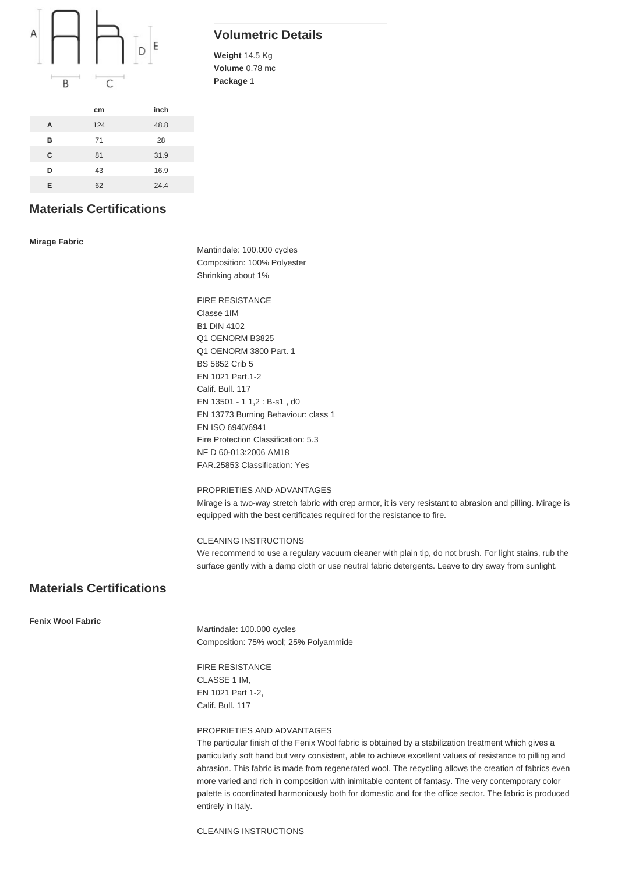

|   | cm  | inch |
|---|-----|------|
| A | 124 | 48.8 |
| в | 71  | 28   |
| C | 81  | 31.9 |
| D | 43  | 16.9 |
| Е | 62  | 24.4 |

# **Volumetric Details**

**Weight** 14.5 Kg **Volume** 0.78 mc **Package** 1

# **Materials Certifications**

**Mirage Fabric**

Mantindale: 100.000 cycles Composition: 100% Polyester Shrinking about 1%

FIRE RESISTANCE Classe 1IM B1 DIN 4102 Q1 OENORM B3825 Q1 OENORM 3800 Part. 1 BS 5852 Crib 5 EN 1021 Part.1-2 Calif. Bull. 117 EN 13501 - 1 1,2 : B-s1 , d0 EN 13773 Burning Behaviour: class 1 EN ISO 6940/6941 Fire Protection Classification: 5.3 NF D 60-013:2006 AM18 FAR.25853 Classification: Yes

#### PROPRIETIES AND ADVANTAGES

Mirage is a two-way stretch fabric with crep armor, it is very resistant to abrasion and pilling. Mirage is equipped with the best certificates required for the resistance to fire.

#### CLEANING INSTRUCTIONS

We recommend to use a regulary vacuum cleaner with plain tip, do not brush. For light stains, rub the surface gently with a damp cloth or use neutral fabric detergents. Leave to dry away from sunlight.

# **Materials Certifications**

**Fenix Wool Fabric**

Martindale: 100.000 cycles Composition: 75% wool; 25% Polyammide

FIRE RESISTANCE CLASSE 1 IM, EN 1021 Part 1-2, Calif. Bull. 117

#### PROPRIETIES AND ADVANTAGES

The particular finish of the Fenix Wool fabric is obtained by a stabilization treatment which gives a particularly soft hand but very consistent, able to achieve excellent values of resistance to pilling and abrasion. This fabric is made from regenerated wool. The recycling allows the creation of fabrics even more varied and rich in composition with inimitable content of fantasy. The very contemporary color palette is coordinated harmoniously both for domestic and for the office sector. The fabric is produced entirely in Italy.

CLEANING INSTRUCTIONS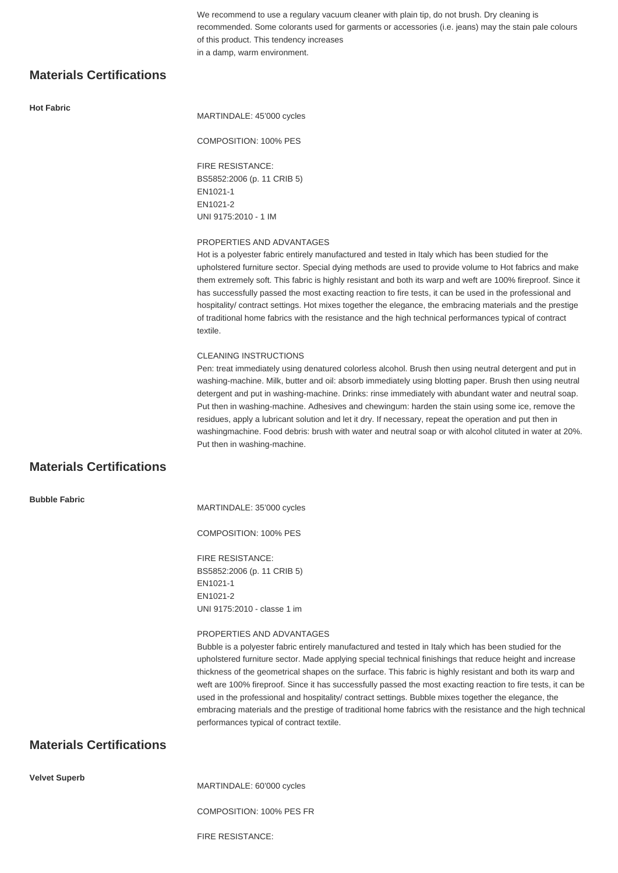We recommend to use a regulary vacuum cleaner with plain tip, do not brush. Dry cleaning is recommended. Some colorants used for garments or accessories (i.e. jeans) may the stain pale colours of this product. This tendency increases in a damp, warm environment.

# **Materials Certifications**

#### **Hot Fabric**

MARTINDALE: 45'000 cycles

#### COMPOSITION: 100% PES

FIRE RESISTANCE: BS5852:2006 (p. 11 CRIB 5) EN1021-1 EN1021-2 UNI 9175:2010 - 1 IM

#### PROPERTIES AND ADVANTAGES

Hot is a polyester fabric entirely manufactured and tested in Italy which has been studied for the upholstered furniture sector. Special dying methods are used to provide volume to Hot fabrics and make them extremely soft. This fabric is highly resistant and both its warp and weft are 100% fireproof. Since it has successfully passed the most exacting reaction to fire tests, it can be used in the professional and hospitality/ contract settings. Hot mixes together the elegance, the embracing materials and the prestige of traditional home fabrics with the resistance and the high technical performances typical of contract textile.

#### CLEANING INSTRUCTIONS

Pen: treat immediately using denatured colorless alcohol. Brush then using neutral detergent and put in washing-machine. Milk, butter and oil: absorb immediately using blotting paper. Brush then using neutral detergent and put in washing-machine. Drinks: rinse immediately with abundant water and neutral soap. Put then in washing-machine. Adhesives and chewingum: harden the stain using some ice, remove the residues, apply a lubricant solution and let it dry. If necessary, repeat the operation and put then in washingmachine. Food debris: brush with water and neutral soap or with alcohol clituted in water at 20%. Put then in washing-machine.

# **Materials Certifications**

**Bubble Fabric**

MARTINDALE: 35'000 cycles

COMPOSITION: 100% PES

FIRE RESISTANCE: BS5852:2006 (p. 11 CRIB 5) EN1021-1 EN1021-2 UNI 9175:2010 - classe 1 im

#### PROPERTIES AND ADVANTAGES

Bubble is a polyester fabric entirely manufactured and tested in Italy which has been studied for the upholstered furniture sector. Made applying special technical finishings that reduce height and increase thickness of the geometrical shapes on the surface. This fabric is highly resistant and both its warp and weft are 100% fireproof. Since it has successfully passed the most exacting reaction to fire tests, it can be used in the professional and hospitality/ contract settings. Bubble mixes together the elegance, the embracing materials and the prestige of traditional home fabrics with the resistance and the high technical performances typical of contract textile.

# **Materials Certifications**

**Velvet Superb**

MARTINDALE: 60'000 cycles

COMPOSITION: 100% PES FR

FIRE RESISTANCE: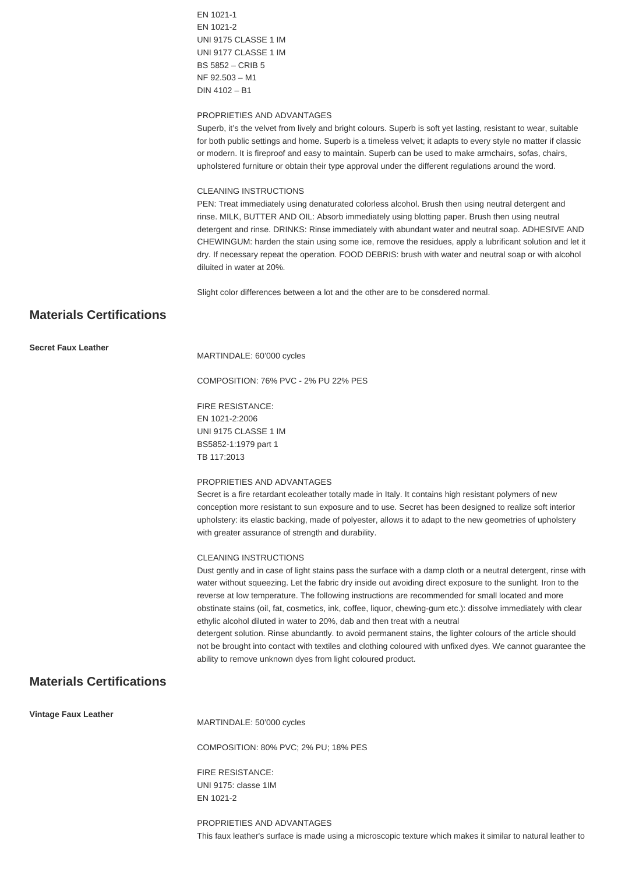EN 1021-1 EN 1021-2 UNI 9175 CLASSE 1 IM UNI 9177 CLASSE 1 IM BS 5852 – CRIB 5 NF 92.503 – M1 DIN 4102 – B1

#### PROPRIETIES AND ADVANTAGES

Superb, it's the velvet from lively and bright colours. Superb is soft yet lasting, resistant to wear, suitable for both public settings and home. Superb is a timeless velvet; it adapts to every style no matter if classic or modern. It is fireproof and easy to maintain. Superb can be used to make armchairs, sofas, chairs, upholstered furniture or obtain their type approval under the different regulations around the word.

#### CLEANING INSTRUCTIONS

PEN: Treat immediately using denaturated colorless alcohol. Brush then using neutral detergent and rinse. MILK, BUTTER AND OIL: Absorb immediately using blotting paper. Brush then using neutral detergent and rinse. DRINKS: Rinse immediately with abundant water and neutral soap. ADHESIVE AND CHEWINGUM: harden the stain using some ice, remove the residues, apply a lubrificant solution and let it dry. If necessary repeat the operation. FOOD DEBRIS: brush with water and neutral soap or with alcohol diluited in water at 20%.

Slight color differences between a lot and the other are to be consdered normal.

# **Materials Certifications**

| <b>Secret Faux Leather</b> |  |  |
|----------------------------|--|--|
|----------------------------|--|--|

MARTINDALE: 60'000 cycles

COMPOSITION: 76% PVC - 2% PU 22% PES

FIRE RESISTANCE: EN 1021-2:2006 UNI 9175 CLASSE 1 IM BS5852-1:1979 part 1 TB 117:2013

#### PROPRIETIES AND ADVANTAGES

Secret is a fire retardant ecoleather totally made in Italy. It contains high resistant polymers of new conception more resistant to sun exposure and to use. Secret has been designed to realize soft interior upholstery: its elastic backing, made of polyester, allows it to adapt to the new geometries of upholstery with greater assurance of strength and durability.

#### CLEANING INSTRUCTIONS

Dust gently and in case of light stains pass the surface with a damp cloth or a neutral detergent, rinse with water without squeezing. Let the fabric dry inside out avoiding direct exposure to the sunlight. Iron to the reverse at low temperature. The following instructions are recommended for small located and more obstinate stains (oil, fat, cosmetics, ink, coffee, liquor, chewing-gum etc.): dissolve immediately with clear ethylic alcohol diluted in water to 20%, dab and then treat with a neutral detergent solution. Rinse abundantly. to avoid permanent stains, the lighter colours of the article should not be brought into contact with textiles and clothing coloured with unfixed dyes. We cannot guarantee the ability to remove unknown dyes from light coloured product.

## **Materials Certifications**

**Vintage Faux Leather**

MARTINDALE: 50'000 cycles

COMPOSITION: 80% PVC; 2% PU; 18% PES

FIRE RESISTANCE: UNI 9175: classe 1IM EN 1021-2

PROPRIETIES AND ADVANTAGES This faux leather's surface is made using a microscopic texture which makes it similar to natural leather to